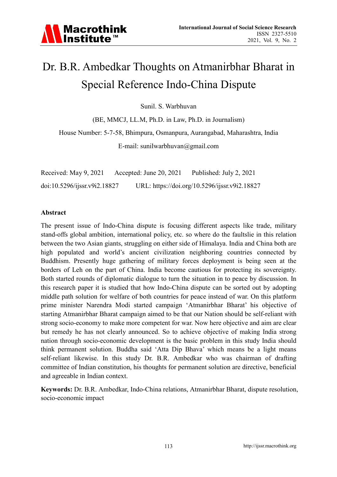# Dr. B.R. Ambedkar Thoughts on Atmanirbhar Bharat in Special Reference Indo-China Dispute

Sunil. S. Warbhuvan

(BE, MMCJ, LL.M, Ph.D. in Law, Ph.D. in Journalism)

House Number: 5-7-58, Bhimpura, Osmanpura, Aurangabad, Maharashtra, India

E-mail: sunilwarbhuvan@gmail.com

| Received: May 9, 2021        | Accepted: June 20, $2021$ | Published: July 2, 2021                       |
|------------------------------|---------------------------|-----------------------------------------------|
| doi:10.5296/jjssr.v9i2.18827 |                           | URL: https://doi.org/10.5296/ijssr.v9i2.18827 |

#### **Abstract**

The present issue of Indo-China dispute is focusing different aspects like trade, military stand-offs global ambition, international policy, etc. so where do the faultslie in this relation between the two Asian giants, struggling on either side of Himalaya. India and China both are high populated and world's ancient civilization neighboring countries connected by Buddhism. Presently huge gathering of military forces deployment is being seen at the borders of Leh on the part of China. India become cautious for protecting its sovereignty. Both started rounds of diplomatic dialogue to turn the situation in to peace by discussion. In this research paper it is studied that how Indo-China dispute can be sorted out by adopting middle path solution for welfare of both countries for peace instead of war. On this platform prime minister Narendra Modi started campaign 'Atmanirbhar Bharat' his objective of starting Atmanirbhar Bharat campaign aimed to be that our Nation should be self-reliant with strong socio-economy to make more competent for war. Now here objective and aim are clear but remedy he has not clearly announced. So to achieve objective of making India strong nation through socio-economic development is the basic problem in this study India should think permanent solution. Buddha said 'Atta Dip Bhava' which means be a light means self-reliant likewise. In this study Dr. B.R. Ambedkar who was chairman of drafting committee of Indian constitution, his thoughts for permanent solution are directive, beneficial and agreeable in Indian context.

**Keywords:** Dr. B.R. Ambedkar, Indo-China relations, Atmanirbhar Bharat, dispute resolution, socio-economic impact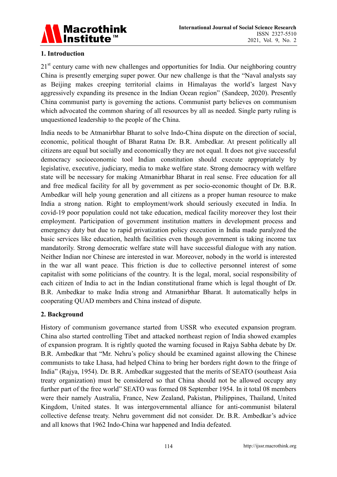

# **1. Introduction**

21<sup>st</sup> century came with new challenges and opportunities for India. Our neighboring country China is presently emerging super power. Our new challenge is that the "Naval analysts say as Beijing makes creeping territorial claims in Himalayas the world's largest Navy aggressively expanding its presence in the Indian Ocean region" (Sandeep, 2020). Presently China communist party is governing the actions. Communist party believes on communism which advocated the common sharing of all resources by all as needed. Single party ruling is unquestioned leadership to the people of the China.

India needs to be Atmanirbhar Bharat to solve Indo-China dispute on the direction of social, economic, political thought of Bharat Ratna Dr. B.R. Ambedkar. At present politically all citizens are equal but socially and economically they are not equal. It does not give successful democracy socioeconomic tool Indian constitution should execute appropriately by legislative, executive, judiciary, media to make welfare state. Strong democracy with welfare state will be necessary for making Atmanirbhar Bharat in real sense. Free education for all and free medical facility for all by government as per socio-economic thought of Dr. B.R. Ambedkar will help young generation and all citizens as a proper human resource to make India a strong nation. Right to employment/work should seriously executed in India. In covid-19 poor population could not take education, medical facility moreover they lost their employment. Participation of government institution matters in development process and emergency duty but due to rapid privatization policy execution in India made paralyzed the basic services like education, health facilities even though government is taking income tax mandatorily. Strong democratic welfare state will have successful dialogue with any nation. Neither Indian nor Chinese are interested in war. Moreover, nobody in the world is interested in the war all want peace. This friction is due to collective personnel interest of some capitalist with some politicians of the country. It is the legal, moral, social responsibility of each citizen of India to act in the Indian constitutional frame which is legal thought of Dr. B.R. Ambedkar to make India strong and Atmanirbhar Bharat. It automatically helps in cooperating QUAD members and China instead of dispute.

# **2. Background**

History of communism governance started from USSR who executed expansion program. China also started controlling Tibet and attacked northeast region of India showed examples of expansion program. It is rightly quoted the warning focused in Rajya Sabha debate by Dr. B.R. Ambedkar that "Mr. Nehru's policy should be examined against allowing the Chinese communists to take Lhasa, had helped China to bring her borders right down to the fringe of India" (Rajya, 1954). Dr. B.R. Ambedkar suggested that the merits of SEATO (southeast Asia treaty organization) must be considered so that China should not be allowed occupy any further part of the free world" SEATO was formed 08 September 1954. In it total 08 members were their namely Australia, France, New Zealand, Pakistan, Philippines, Thailand, United Kingdom, United states. It was intergovernmental alliance for anti-communist bilateral collective defense treaty. Nehru government did not consider. Dr. B.R. Ambedkar's advice and all knows that 1962 Indo-China war happened and India defeated.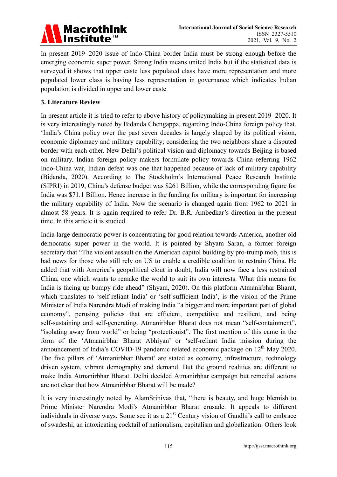

In present 2019−2020 issue of Indo-China border India must be strong enough before the emerging economic super power. Strong India means united India but if the statistical data is surveyed it shows that upper caste less populated class have more representation and more populated lower class is having less representation in governance which indicates Indian population is divided in upper and lower caste

### **3. Literature Review**

In present article it is tried to refer to above history of policymaking in present 2019−2020. It is very interestingly noted by Bidanda Chengappa, regarding Indo-China foreign policy that, 'India's China policy over the past seven decades is largely shaped by its political vision, economic diplomacy and military capability; considering the two neighbors share a disputed border with each other. New Delhi's political vision and diplomacy towards Beijing is based on military. Indian foreign policy makers formulate policy towards China referring 1962 Indo-China war, Indian defeat was one that happened because of lack of military capability (Bidanda, 2020). According to The Stockholm's International Peace Research Institute (SIPRI) in 2019, China's defense budget was \$261 Billion, while the corresponding figure for India was \$71.1 Billion. Hence increase in the funding for military is important for increasing the military capability of India. Now the scenario is changed again from 1962 to 2021 in almost 58 years. It is again required to refer Dr. B.R. Ambedkar's direction in the present time. In this article it is studied.

India large democratic power is concentrating for good relation towards America, another old democratic super power in the world. It is pointed by Shyam Saran, a former foreign secretary that "The violent assault on the American capitol building by pro-trump mob, this is bad news for those who still rely on US to enable a credible coalition to restrain China. He added that with America's geopolitical clout in doubt, India will now face a less restrained China, one which wants to remake the world to suit its own interests. What this means for India is facing up bumpy ride ahead" (Shyam, 2020). On this platform Atmanirbhar Bharat, which translates to 'self-reliant India' or 'self-sufficient India', is the vision of the Prime Minister of India Narendra Modi of making India "a bigger and more important part of global economy", perusing policies that are efficient, competitive and resilient, and being self-sustaining and self-generating. Atmanirbhar Bharat does not mean "self-containment", "isolating away from world" or being "protectionist". The first mention of this came in the form of the 'Atmanirbhar Bharat Abhiyan' or 'self-reliant India mission during the announcement of India's COVID-19 pandemic related economic package on  $12<sup>th</sup>$  May 2020. The five pillars of 'Atmanirbhar Bharat' are stated as economy, infrastructure, technology driven system, vibrant demography and demand. But the ground realities are different to make India Atmanirbhar Bharat. Delhi decided Atmanirbhar campaign but remedial actions are not clear that how Atmanirbhar Bharat will be made?

It is very interestingly noted by AlamSrinivas that, "there is beauty, and huge blemish to Prime Minister Narendra Modi's Atmanirbhar Bharat crusade. It appeals to different individuals in diverse ways. Some see it as a  $21<sup>st</sup>$  Century vision of Gandhi's call to embrace of swadeshi, an intoxicating cocktail of nationalism, capitalism and globalization. Others look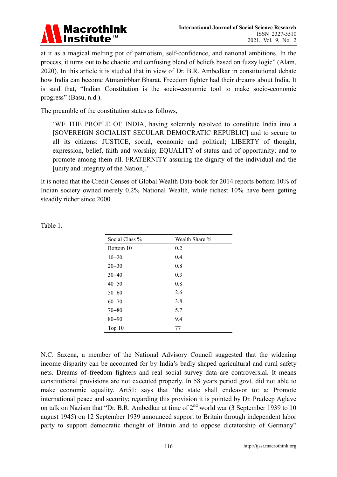

at it as a magical melting pot of patriotism, self-confidence, and national ambitions. In the process, it turns out to be chaotic and confusing blend of beliefs based on fuzzy logic" (Alam, 2020). In this article it is studied that in view of Dr. B.R. Ambedkar in constitutional debate how India can become Atmanirbhar Bharat. Freedom fighter had their dreams about India. It is said that, "Indian Constitution is the socio-economic tool to make socio-economic progress" (Basu, n.d.).

The preamble of the constitution states as follows,

'WE THE PROPLE OF INDIA, having solemnly resolved to constitute India into a [SOVEREIGN SOCIALIST SECULAR DEMOCRATIC REPUBLIC] and to secure to all its citizens: JUSTICE, social, economic and political; LIBERTY of thought, expression, belief, faith and worship; EQUALITY of status and of opportunity; and to promote among them all. FRATERNITY assuring the dignity of the individual and the [unity and integrity of the Nation].'

It is noted that the Credit Censes of Global Wealth Data-book for 2014 reports bottom 10% of Indian society owned merely 0.2% National Wealth, while richest 10% have been getting steadily richer since 2000.

| Social Class % | Wealth Share % |
|----------------|----------------|
| Bottom 10      | 0.2            |
| $10 - 20$      | 0.4            |
| $20 - 30$      | 0.8            |
| $30 - 40$      | 0.3            |
| $40 - 50$      | 0.8            |
| $50 - 60$      | 2.6            |
| $60 - 70$      | 3.8            |
| $70 - 80$      | 5.7            |
| $80 - 90$      | 9.4            |
| Top $10$       | 77             |

Table 1.

N.C. Saxena, a member of the National Advisory Council suggested that the widening income disparity can be accounted for by India's badly shaped agricultural and rural safety nets. Dreams of freedom fighters and real social survey data are controversial. It means constitutional provisions are not executed properly. In 58 years period govt. did not able to make economic equality. Art51: says that 'the state shall endeavor to: a: Promote international peace and security; regarding this provision it is pointed by Dr. Pradeep Aglave on talk on Nazism that "Dr. B.R. Ambedkar at time of 2<sup>nd</sup> world war (3 September 1939 to 10 august 1945) on 12 September 1939 announced support to Britain through independent labor party to support democratic thought of Britain and to oppose dictatorship of Germany"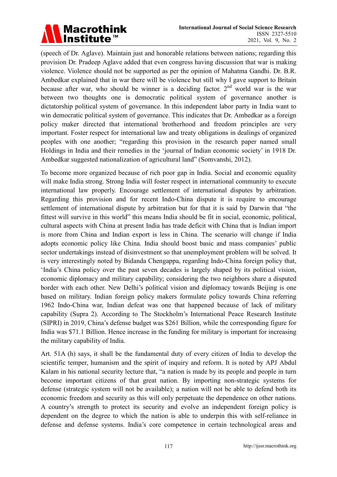

(speech of Dr. Aglave). Maintain just and honorable relations between nations; regarding this provision Dr. Pradeep Aglave added that even congress having discussion that war is making violence. Violence should not be supported as per the opinion of Mahatma Gandhi. Dr. B.R. Ambedkar explained that in war there will be violence but still why I gave support to Britain because after war, who should be winner is a deciding factor.  $2<sup>nd</sup>$  world war is the war between two thoughts one is democratic political system of governance another is dictatorship political system of governance. In this independent labor party in India want to win democratic political system of governance. This indicates that Dr. Ambedkar as a foreign policy maker directed that international brotherhood and freedom principles are very important. Foster respect for international law and treaty obligations in dealings of organized peoples with one another; "regarding this provision in the research paper named small Holdings in India and their remedies in the 'journal of Indian economic society' in 1918 Dr. Ambedkar suggested nationalization of agricultural land" (Somvanshi, 2012).

To become more organized because of rich poor gap in India. Social and economic equality will make India strong. Strong India will foster respect in international community to execute international law properly. Encourage settlement of international disputes by arbitration. Regarding this provision and for recent Indo-China dispute it is require to encourage settlement of international dispute by arbitration but for that it is said by Darwin that "the fittest will survive in this world" this means India should be fit in social, economic, political, cultural aspects with China at present India has trade deficit with China that is Indian import is more from China and Indian export is less in China. The scenario will change if India adopts economic policy like China. India should boost basic and mass companies' public sector undertakings instead of disinvestment so that unemployment problem will be solved. It is very interestingly noted by Bidanda Chengappa, regarding Indo-China foreign policy that, 'India's China policy over the past seven decades is largely shaped by its political vision, economic diplomacy and military capability; considering the two neighbors share a disputed border with each other. New Delhi's political vision and diplomacy towards Beijing is one based on military. Indian foreign policy makers formulate policy towards China referring 1962 Indo-China war, Indian defeat was one that happened because of lack of military capability (Supra 2). According to The Stockholm's International Peace Research Institute (SIPRI) in 2019, China's defense budget was \$261 Billion, while the corresponding figure for India was \$71.1 Billion. Hence increase in the funding for military is important for increasing the military capability of India.

Art. 51A (h) says, it shall be the fundamental duty of every citizen of India to develop the scientific temper, humanism and the spirit of inquiry and reform. It is noted by APJ Abdul Kalam in his national security lecture that, "a nation is made by its people and people in turn become important citizens of that great nation. By importing non-strategic systems for defense (strategic system will not be available); a nation will not be able to defend both its economic freedom and security as this will only perpetuate the dependence on other nations. A country's strength to protect its security and evolve an independent foreign policy is dependent on the degree to which the nation is able to underpin this with self-reliance in defense and defense systems. India's core competence in certain technological areas and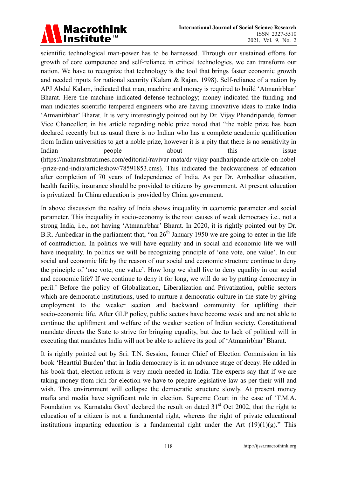# **Macrothink** Institute™

scientific technological man-power has to be harnessed. Through our sustained efforts for growth of core competence and self-reliance in critical technologies, we can transform our nation. We have to recognize that technology is the tool that brings faster economic growth and needed inputs for national security (Kalam & Rajan, 1998). Self-reliance of a nation by APJ Abdul Kalam, indicated that man, machine and money is required to build 'Atmanirbhar' Bharat. Here the machine indicated defense technology; money indicated the funding and man indicates scientific tempered engineers who are having innovative ideas to make India 'Atmanirbhar' Bharat. It is very interestingly pointed out by Dr. Vijay Phandripande, former Vice Chancellor; in his article regarding noble prize noted that "the noble prize has been declared recently but as usual there is no Indian who has a complete academic qualification from Indian universities to get a noble prize, however it is a pity that there is no sensitivity in Indian people about this issue (https://maharashtratimes.com/editorial/ravivar-mata/dr-vijay-pandharipande-article-on-nobel -prize-and-india/articleshow/78591853.cms). This indicated the backwardness of education after completion of 70 years of Independence of India. As per Dr. Ambedkar education, health facility, insurance should be provided to citizens by government. At present education is privatized. In China education is provided by China government.

In above discussion the reality of India shows inequality in economic parameter and social parameter. This inequality in socio-economy is the root causes of weak democracy i.e., not a strong India, i.e., not having 'Atmanirbhar' Bharat. In 2020, it is rightly pointed out by Dr. B.R. Ambedkar in the parliament that, "on  $26<sup>th</sup>$  January 1950 we are going to enter in the life of contradiction. In politics we will have equality and in social and economic life we will have inequality. In politics we will be recognizing principle of 'one vote, one value'. In our social and economic life by the reason of our social and economic structure continue to deny the principle of 'one vote, one value'. How long we shall live to deny equality in our social and economic life? If we continue to deny it for long, we will do so by putting democracy in peril.' Before the policy of Globalization, Liberalization and Privatization, public sectors which are democratic institutions, used to nurture a democratic culture in the state by giving employment to the weaker section and backward community for uplifting their socio-economic life. After GLP policy, public sectors have become weak and are not able to continue the upliftment and welfare of the weaker section of Indian society. Constitutional mandate directs the State to strive for bringing equality, but due to lack of political will in executing that mandates India will not be able to achieve its goal of 'Atmanirbhar' Bharat.

It is rightly pointed out by Sri. T.N. Session, former Chief of Election Commission in his book 'Heartful Burden' that in India democracy is in an advance stage of decay. He added in his book that, election reform is very much needed in India. The experts say that if we are taking money from rich for election we have to prepare legislative law as per their will and wish. This environment will collapse the democratic structure slowly. At present money mafia and media have significant role in election. Supreme Court in the case of 'T.M.A. Foundation vs. Karnataka Govt' declared the result on dated  $31<sup>st</sup>$  Oct 2002, that the right to education of a citizen is not a fundamental right, whereas the right of private educational institutions imparting education is a fundamental right under the Art  $(19)(1)(g)$ ." This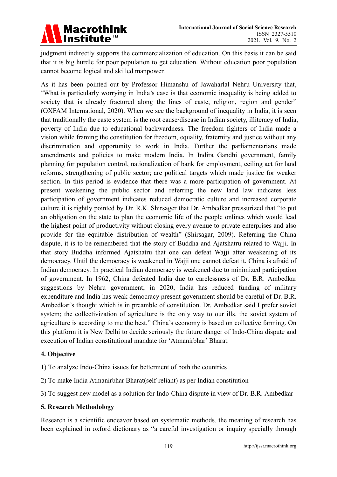

judgment indirectly supports the commercialization of education. On this basis it can be said that it is big hurdle for poor population to get education. Without education poor population cannot become logical and skilled manpower.

As it has been pointed out by Professor Himanshu of Jawaharlal Nehru University that, "What is particularly worrying in India's case is that economic inequality is being added to society that is already fractured along the lines of caste, religion, region and gender" (OXFAM International, 2020). When we see the background of inequality in India, it is seen that traditionally the caste system is the root cause/disease in Indian society, illiteracy of India, poverty of India due to educational backwardness. The freedom fighters of India made a vision while framing the constitution for freedom, equality, fraternity and justice without any discrimination and opportunity to work in India. Further the parliamentarians made amendments and policies to make modern India. In Indira Gandhi government, family planning for population control, nationalization of bank for employment, ceiling act for land reforms, strengthening of public sector; are political targets which made justice for weaker section. In this period is evidence that there was a more participation of government. At present weakening the public sector and referring the new land law indicates less participation of government indicates reduced democratic culture and increased corporate culture it is rightly pointed by Dr. R.K. Shirsager that Dr. Ambedkar pressurized that "to put an obligation on the state to plan the economic life of the people onlines which would lead the highest point of productivity without closing every avenue to private enterprises and also provide for the equitable distribution of wealth" (Shirsagar, 2009). Referring the China dispute, it is to be remembered that the story of Buddha and Ajatshatru related to Wajji. In that story Buddha informed Ajatshatru that one can defeat Wajji after weakening of its democracy. Until the democracy is weakened in Wajji one cannot defeat it. China is afraid of Indian democracy. In practical Indian democracy is weakened due to minimized participation of government. In 1962, China defeated India due to carelessness of Dr. B.R. Ambedkar suggestions by Nehru government; in 2020, India has reduced funding of military expenditure and India has weak democracy present government should be careful of Dr. B.R. Ambedkar's thought which is in preamble of constitution. Dr. Ambedkar said I prefer soviet system; the collectivization of agriculture is the only way to our ills. the soviet system of agriculture is according to me the best." China's economy is based on collective farming. On this platform it is New Delhi to decide seriously the future danger of Indo-China dispute and execution of Indian constitutional mandate for 'Atmanirbhar' Bharat.

# **4. Objective**

1) To analyze Indo-China issues for betterment of both the countries

2) To make India Atmanirbhar Bharat(self-reliant) as per Indian constitution

3) To suggest new model as a solution for Indo-China dispute in view of Dr. B.R. Ambedkar

#### **5. Research Methodology**

Research is a scientific endeavor based on systematic methods. the meaning of research has been explained in oxford dictionary as "a careful investigation or inquiry specially through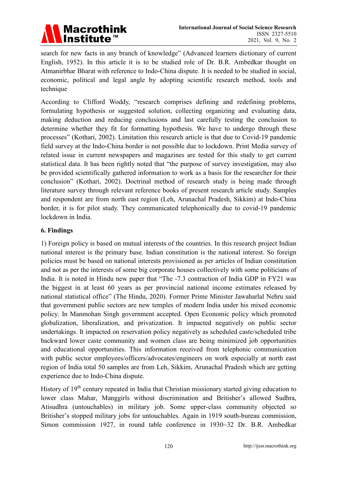

search for new facts in any branch of knowledge" (Advanced learners dictionary of current English, 1952). In this article it is to be studied role of Dr. B.R. Ambedkar thought on Atmanirbhar Bharat with reference to Indo-China dispute. It is needed to be studied in social, economic, political and legal angle by adopting scientific research method, tools and technique

According to Clifford Woddy, "research comprises defining and redefining problems, formulating hypothesis or suggested solution, collecting organizing and evaluating data, making deduction and reducing conclusions and last carefully testing the conclusion to determine whether they fit for formatting hypothesis. We have to undergo through these processes" (Kothari, 2002). Limitation this research article is that due to Covid-19 pandemic field survey at the Indo-China border is not possible due to lockdown. Print Media survey of related issue in current newspapers and magazines are tested for this study to get current statistical data. It has been rightly noted that "the purpose of survey investigation, may also be provided scientifically gathered information to work as a basis for the researcher for their conclusion" (Kothari, 2002). Doctrinal method of research study is being made through literature survey through relevant reference books of present research article study. Samples and respondent are from north east region (Leh, Arunachal Pradesh, Sikkim) at Indo-China border, it is for pilot study. They communicated telephonically due to covid-19 pandemic lockdown in India.

# **6. Findings**

1) Foreign policy is based on mutual interests of the countries. In this research project Indian national interest is the primary base. Indian constitution is the national interest. So foreign policies must be based on national interests provisioned as per articles of Indian constitution and not as per the interests of some big corporate houses collectively with some politicians of India. It is noted in Hindu new paper that "The -7.3 contraction of India GDP in FY21 was the biggest in at least 60 years as per provincial national income estimates released by national statistical office" (The Hindu, 2020). Former Prime Minister Jawaharlal Nehru said that government public sectors are new temples of modern India under his mixed economic policy. In Manmohan Singh government accepted. Open Economic policy which promoted globalization, liberalization, and privatization. It impacted negatively on public sector undertakings. It impacted on reservation policy negatively as scheduled caste/scheduled tribe backward lower caste community and women class are being minimized job opportunities and educational opportunities. This information received from telephonic communication with public sector employees/officers/advocates/engineers on work especially at north east region of India total 50 samples are from Leh, Sikkim, Arunachal Pradesh which are getting experience due to Indo-China dispute.

History of 19<sup>th</sup> century repeated in India that Christian missionary started giving education to lower class Mahar, Manggirls without discrimination and Britisher's allowed Sudhra, Atisudhra (untouchables) in military job. Some upper-class community objected so Britisher's stopped military jobs for untouchables. Again in 1919 south-bureau commission, Simon commission 1927, in round table conference in 1930−32 Dr. B.R. Ambedkar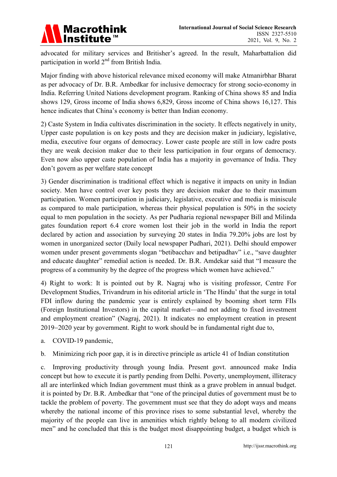

advocated for military services and Britisher's agreed. In the result, Maharbattalion did participation in world  $2<sup>nd</sup>$  from British India.

Major finding with above historical relevance mixed economy will make Atmanirbhar Bharat as per advocacy of Dr. B.R. Ambedkar for inclusive democracy for strong socio-economy in India. Referring United Nations development program. Ranking of China shows 85 and India shows 129, Gross income of India shows 6,829, Gross income of China shows 16,127. This hence indicates that China's economy is better than Indian economy.

2) Caste System in India cultivates discrimination in the society. It effects negatively in unity, Upper caste population is on key posts and they are decision maker in judiciary, legislative, media, executive four organs of democracy. Lower caste people are still in low cadre posts they are weak decision maker due to their less participation in four organs of democracy. Even now also upper caste population of India has a majority in governance of India. They don't govern as per welfare state concept

3) Gender discrimination is traditional effect which is negative it impacts on unity in Indian society. Men have control over key posts they are decision maker due to their maximum participation. Women participation in judiciary, legislative, executive and media is miniscule as compared to male participation, whereas their physical population is 50% in the society equal to men population in the society. As per Pudharia regional newspaper Bill and Milinda gates foundation report 6.4 crore women lost their job in the world in India the report declared by action and association by surveying 20 states in India 79.20% jobs are lost by women in unorganized sector (Daily local newspaper Pudhari, 2021). Delhi should empower women under present governments slogan "betibacchav and betipadhav" i.e., "save daughter and educate daughter" remedial action is needed. Dr. B.R. Amdekar said that "I measure the progress of a community by the degree of the progress which women have achieved."

4) Right to work: It is pointed out by R. Nagraj who is visiting professor, Centre For Development Studies, Trivandrum in his editorial article in 'The Hindu' that the surge in total FDI inflow during the pandemic year is entirely explained by booming short term FIIs (Foreign Institutional Investors) in the capital market—and not adding to fixed investment and employment creation" (Nagraj, 2021). It indicates no employment creation in present 2019−2020 year by government. Right to work should be in fundamental right due to,

a. COVID-19 pandemic,

b. Minimizing rich poor gap, it is in directive principle as article 41 of Indian constitution

c. Improving productivity through young India. Present govt. announced make India concept but how to execute it is partly pending from Delhi. Poverty, unemployment, illiteracy all are interlinked which Indian government must think as a grave problem in annual budget. it is pointed by Dr. B.R. Ambedkar that "one of the principal duties of government must be to tackle the problem of poverty. The government must see that they do adopt ways and means whereby the national income of this province rises to some substantial level, whereby the majority of the people can live in amenities which rightly belong to all modern civilized men" and he concluded that this is the budget most disappointing budget, a budget which is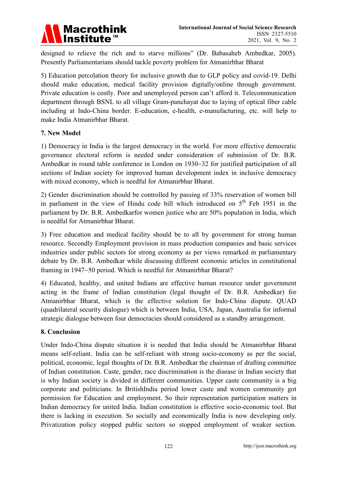

designed to relieve the rich and to starve millions" (Dr. Babasaheb Ambedkar, 2005). Presently Parliamentarians should tackle poverty problem for Atmanirbhar Bharat

5) Education percolation theory for inclusive growth due to GLP policy and covid-19. Delhi should make education, medical facility provision digitally/online through government. Private education is costly. Poor and unemployed person can't afford it. Telecommunication department through BSNL to all village Gram-panchayat due to laying of optical fiber cable including at Indo-China border. E-education, e-health, e-manufacturing, etc. will help to make India Atmanirbhar Bharat.

# **7. New Model**

1) Democracy in India is the largest democracy in the world. For more effective democratic governance electoral reform is needed under consideration of submission of Dr. B.R. Ambedkar in round table conference in London on 1930−32 for justified participation of all sections of Indian society for improved human development index in inclusive democracy with mixed economy, which is needful for Atmanirbhar Bharat.

2) Gender discrimination should be controlled by passing of 33% reservation of women bill in parliament in the view of Hindu code bill which introduced on  $5<sup>th</sup>$  Feb 1951 in the parliament by Dr. B.R. Ambedkarfor women justice who are 50% population in India, which is needful for Atmanirbhar Bharat.

3) Free education and medical facility should be to all by government for strong human resource. Secondly Employment provision in mass production companies and basic services industries under public sectors for strong economy as per views remarked in parliamentary debate by Dr. B.R. Ambedkar while discussing different economic articles in constitutional framing in 1947−50 period. Which is needful for Atmanirbhar Bharat?

4) Educated, healthy, and united Indians are effective human resource under government acting in the frame of Indian constitution (legal thought of Dr. B.R. Ambedkar) for Atmanirbhar Bharat, which is the effective solution for Indo-China dispute. QUAD (quadrilateral security dialogue) which is between India, USA, Japan, Australia for informal strategic dialogue between four democracies should considered as a standby arrangement.

#### **8. Conclusion**

Under Indo-China dispute situation it is needed that India should be Atmanirbhar Bharat means self-reliant. India can be self-reliant with strong socio-economy as per the social, political, economic, legal thoughts of Dr. B.R. Ambedkar the chairman of drafting committee of Indian constitution. Caste, gender, race discrimination is the disease in Indian society that is why Indian society is divided in different communities. Upper caste community is a big corporate and politicians. In BritishIndia period lower caste and women community got permission for Education and employment. So their representation participation matters in Indian democracy for united India. Indian constitution is effective socio-economic tool. But there is lacking in execution. So socially and economically India is now developing only. Privatization policy stopped public sectors so stopped employment of weaker section.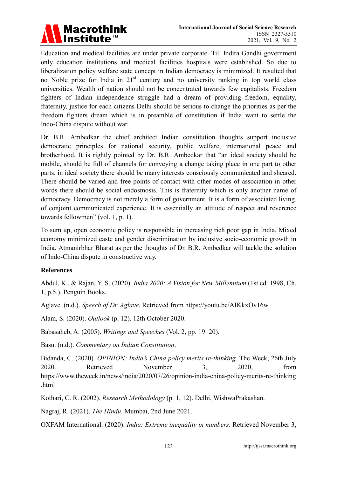

Education and medical facilities are under private corporate. Till Indira Gandhi government only education institutions and medical facilities hospitals were established. So due to liberalization policy welfare state concept in Indian democracy is minimized. It resulted that no Noble prize for India in  $21<sup>st</sup>$  century and no university ranking in top world class universities. Wealth of nation should not be concentrated towards few capitalists. Freedom fighters of Indian independence struggle had a dream of providing freedom, equality, fraternity, justice for each citizens Delhi should be serious to change the priorities as per the freedom fighters dream which is in preamble of constitution if India want to settle the Indo-China dispute without war.

Dr. B.R. Ambedkar the chief architect Indian constitution thoughts support inclusive democratic principles for national security, public welfare, international peace and brotherhood. It is rightly pointed by Dr. B.R. Ambedkar that "an ideal society should be mobile, should be full of channels for conveying a change taking place in one part to other parts. in ideal society there should be many interests consciously communicated and sheared. There should be varied and free points of contact with other modes of association in other words there should be social endosmosis. This is fraternity which is only another name of democracy. Democracy is not merely a form of government. It is a form of associated living, of conjoint communicated experience. It is essentially an attitude of respect and reverence towards fellowmen" (vol. 1, p. 1).

To sum up, open economic policy is responsible in increasing rich poor gap in India. Mixed economy minimized caste and gender discrimination by inclusive socio-economic growth in India. Atmanirbhar Bharat as per the thoughts of Dr. B.R. Ambedkar will tackle the solution of Indo-China dispute in constructive way.

# **References**

Abdul, K., & Rajan, Y. S. (2020). *India 2020: A Vision for New Millennium* (1st ed. 1998, Ch. 1, p.5.). Penguin Books.

Aglave. (n.d.). *Speech of Dr. Aglave*. Retrieved from https://youtu.be/AIKkxOv16w

Alam, S. (2020). *Outlook* (p. 12). 12th October 2020.

Babasaheb, A. (2005). *Writings and Speeches* (Vol. 2, pp. 19−20).

Basu. (n.d.). *Commentary on Indian Constitution*.

Bidanda, C. (2020). *OPINION: India's China policy merits re-thinking*. The Week, 26th July 2020. Retrieved November 3, 2020, from https://www.theweek.in/news/india/2020/07/26/opinion-india-china-policy-merits-re-thinking .html

Kothari, C. R. (2002). *Research Methodology* (p. 1, 12). Delhi, WishwaPrakashan.

Nagraj, R. (2021). *The Hindu*. Mumbai, 2nd June 2021.

OXFAM International. (2020). *India: Extreme inequality in numbers*. Retrieved November 3,